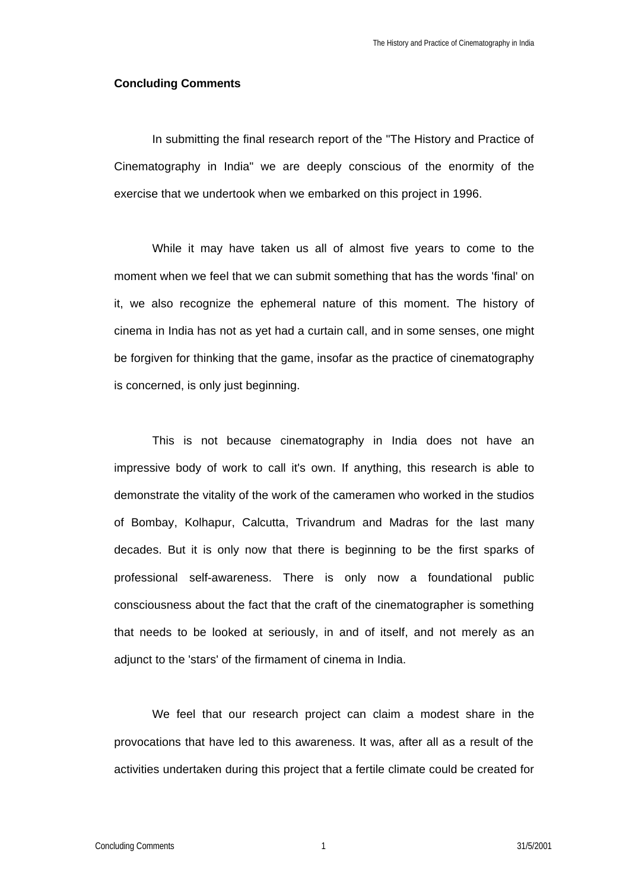## **Concluding Comments**

In submitting the final research report of the "The History and Practice of Cinematography in India" we are deeply conscious of the enormity of the exercise that we undertook when we embarked on this project in 1996.

While it may have taken us all of almost five years to come to the moment when we feel that we can submit something that has the words 'final' on it, we also recognize the ephemeral nature of this moment. The history of cinema in India has not as yet had a curtain call, and in some senses, one might be forgiven for thinking that the game, insofar as the practice of cinematography is concerned, is only just beginning.

This is not because cinematography in India does not have an impressive body of work to call it's own. If anything, this research is able to demonstrate the vitality of the work of the cameramen who worked in the studios of Bombay, Kolhapur, Calcutta, Trivandrum and Madras for the last many decades. But it is only now that there is beginning to be the first sparks of professional self-awareness. There is only now a foundational public consciousness about the fact that the craft of the cinematographer is something that needs to be looked at seriously, in and of itself, and not merely as an adjunct to the 'stars' of the firmament of cinema in India.

We feel that our research project can claim a modest share in the provocations that have led to this awareness. It was, after all as a result of the activities undertaken during this project that a fertile climate could be created for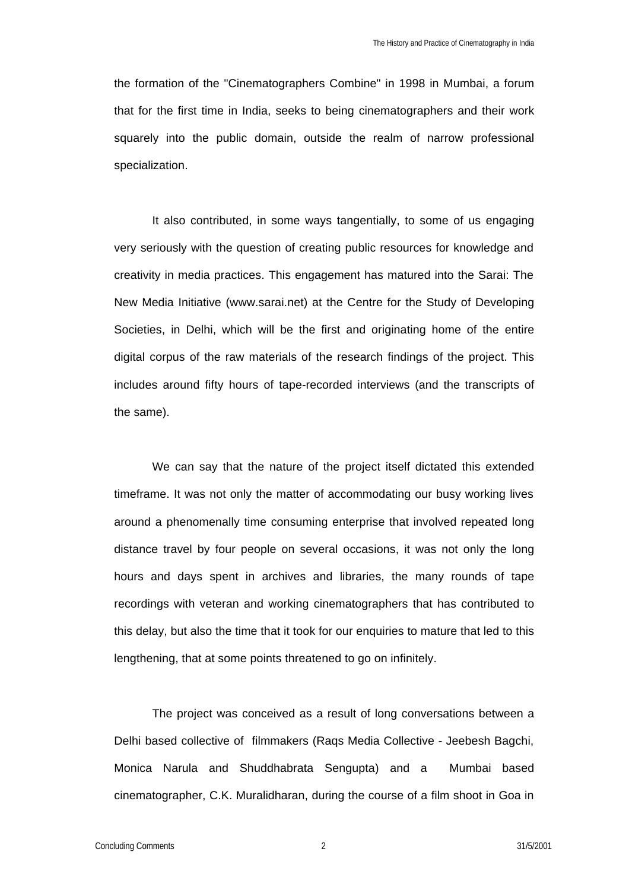the formation of the "Cinematographers Combine" in 1998 in Mumbai, a forum that for the first time in India, seeks to being cinematographers and their work squarely into the public domain, outside the realm of narrow professional specialization.

It also contributed, in some ways tangentially, to some of us engaging very seriously with the question of creating public resources for knowledge and creativity in media practices. This engagement has matured into the Sarai: The New Media Initiative (www.sarai.net) at the Centre for the Study of Developing Societies, in Delhi, which will be the first and originating home of the entire digital corpus of the raw materials of the research findings of the project. This includes around fifty hours of tape-recorded interviews (and the transcripts of the same).

We can say that the nature of the project itself dictated this extended timeframe. It was not only the matter of accommodating our busy working lives around a phenomenally time consuming enterprise that involved repeated long distance travel by four people on several occasions, it was not only the long hours and days spent in archives and libraries, the many rounds of tape recordings with veteran and working cinematographers that has contributed to this delay, but also the time that it took for our enquiries to mature that led to this lengthening, that at some points threatened to go on infinitely.

The project was conceived as a result of long conversations between a Delhi based collective of filmmakers (Raqs Media Collective - Jeebesh Bagchi, Monica Narula and Shuddhabrata Sengupta) and a Mumbai based cinematographer, C.K. Muralidharan, during the course of a film shoot in Goa in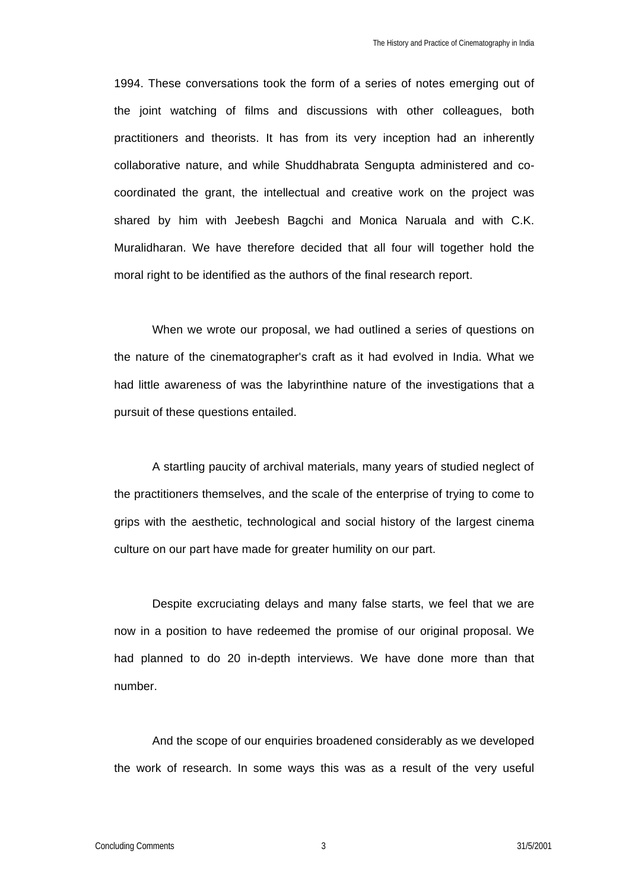1994. These conversations took the form of a series of notes emerging out of the joint watching of films and discussions with other colleagues, both practitioners and theorists. It has from its very inception had an inherently collaborative nature, and while Shuddhabrata Sengupta administered and cocoordinated the grant, the intellectual and creative work on the project was shared by him with Jeebesh Bagchi and Monica Naruala and with C.K. Muralidharan. We have therefore decided that all four will together hold the moral right to be identified as the authors of the final research report.

When we wrote our proposal, we had outlined a series of questions on the nature of the cinematographer's craft as it had evolved in India. What we had little awareness of was the labyrinthine nature of the investigations that a pursuit of these questions entailed.

A startling paucity of archival materials, many years of studied neglect of the practitioners themselves, and the scale of the enterprise of trying to come to grips with the aesthetic, technological and social history of the largest cinema culture on our part have made for greater humility on our part.

Despite excruciating delays and many false starts, we feel that we are now in a position to have redeemed the promise of our original proposal. We had planned to do 20 in-depth interviews. We have done more than that number.

And the scope of our enquiries broadened considerably as we developed the work of research. In some ways this was as a result of the very useful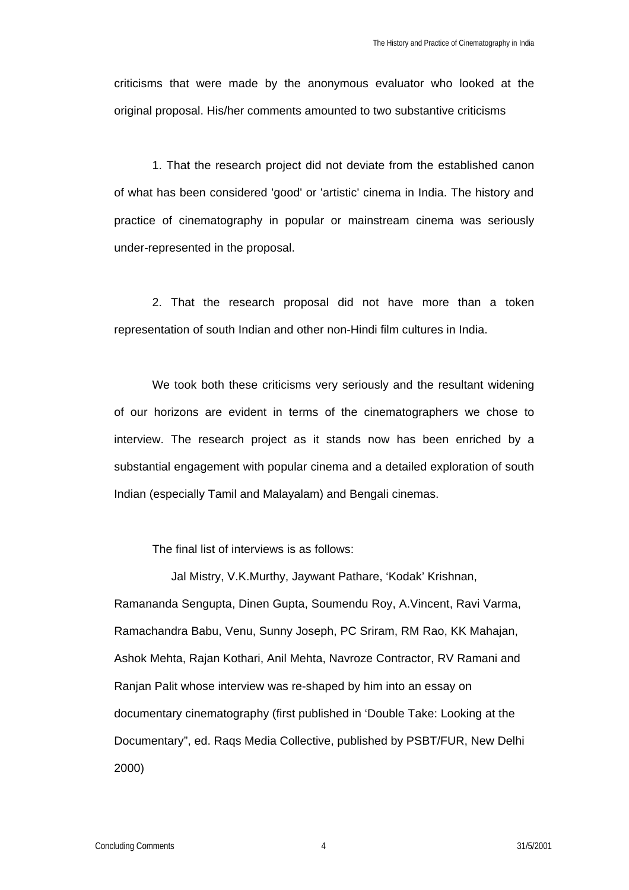criticisms that were made by the anonymous evaluator who looked at the original proposal. His/her comments amounted to two substantive criticisms

1. That the research project did not deviate from the established canon of what has been considered 'good' or 'artistic' cinema in India. The history and practice of cinematography in popular or mainstream cinema was seriously under-represented in the proposal.

2. That the research proposal did not have more than a token representation of south Indian and other non-Hindi film cultures in India.

We took both these criticisms very seriously and the resultant widening of our horizons are evident in terms of the cinematographers we chose to interview. The research project as it stands now has been enriched by a substantial engagement with popular cinema and a detailed exploration of south Indian (especially Tamil and Malayalam) and Bengali cinemas.

The final list of interviews is as follows:

Jal Mistry, V.K.Murthy, Jaywant Pathare, 'Kodak' Krishnan, Ramananda Sengupta, Dinen Gupta, Soumendu Roy, A.Vincent, Ravi Varma, Ramachandra Babu, Venu, Sunny Joseph, PC Sriram, RM Rao, KK Mahajan, Ashok Mehta, Rajan Kothari, Anil Mehta, Navroze Contractor, RV Ramani and Ranjan Palit whose interview was re-shaped by him into an essay on documentary cinematography (first published in 'Double Take: Looking at the Documentary", ed. Raqs Media Collective, published by PSBT/FUR, New Delhi 2000)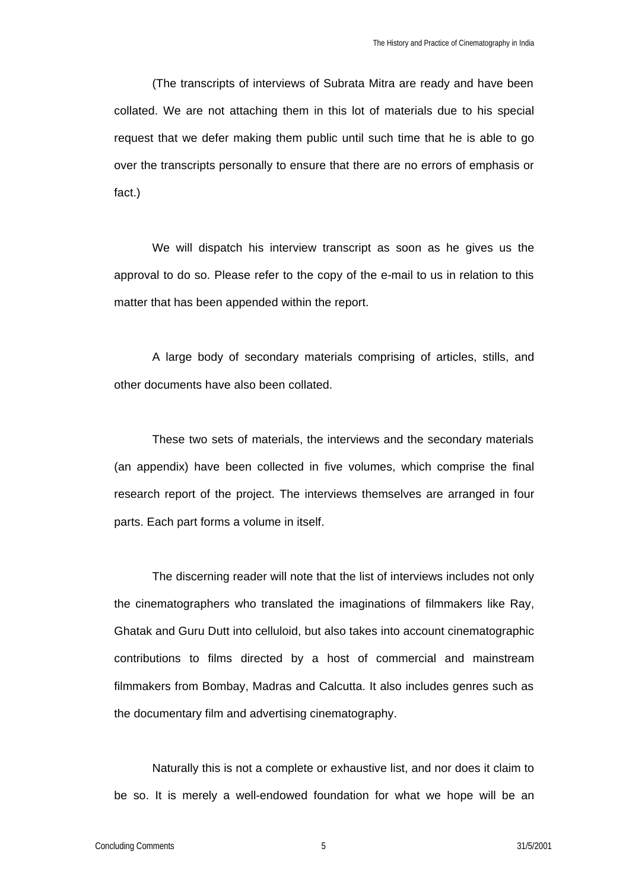(The transcripts of interviews of Subrata Mitra are ready and have been collated. We are not attaching them in this lot of materials due to his special request that we defer making them public until such time that he is able to go over the transcripts personally to ensure that there are no errors of emphasis or fact.)

We will dispatch his interview transcript as soon as he gives us the approval to do so. Please refer to the copy of the e-mail to us in relation to this matter that has been appended within the report.

A large body of secondary materials comprising of articles, stills, and other documents have also been collated.

These two sets of materials, the interviews and the secondary materials (an appendix) have been collected in five volumes, which comprise the final research report of the project. The interviews themselves are arranged in four parts. Each part forms a volume in itself.

The discerning reader will note that the list of interviews includes not only the cinematographers who translated the imaginations of filmmakers like Ray, Ghatak and Guru Dutt into celluloid, but also takes into account cinematographic contributions to films directed by a host of commercial and mainstream filmmakers from Bombay, Madras and Calcutta. It also includes genres such as the documentary film and advertising cinematography.

Naturally this is not a complete or exhaustive list, and nor does it claim to be so. It is merely a well-endowed foundation for what we hope will be an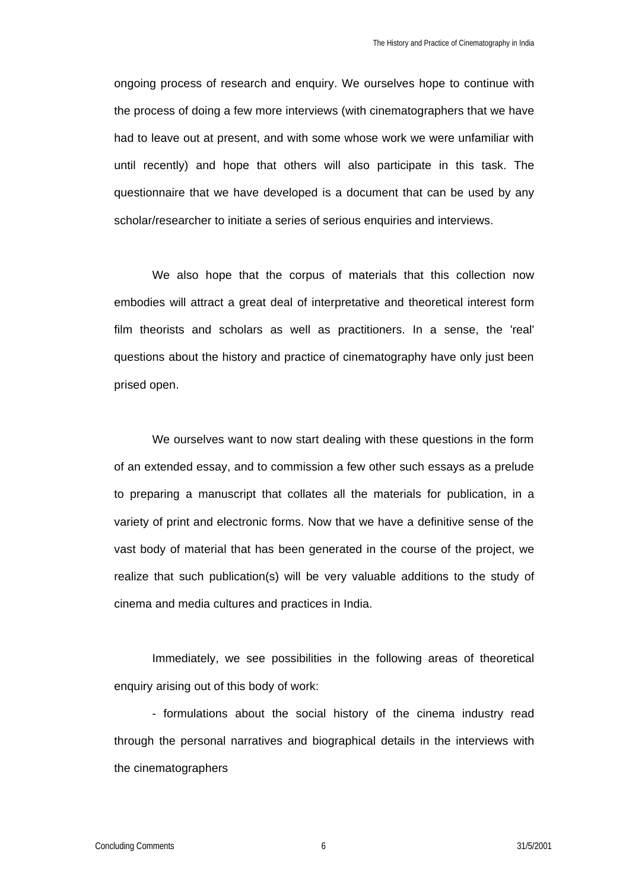ongoing process of research and enquiry. We ourselves hope to continue with the process of doing a few more interviews (with cinematographers that we have had to leave out at present, and with some whose work we were unfamiliar with until recently) and hope that others will also participate in this task. The questionnaire that we have developed is a document that can be used by any scholar/researcher to initiate a series of serious enquiries and interviews.

We also hope that the corpus of materials that this collection now embodies will attract a great deal of interpretative and theoretical interest form film theorists and scholars as well as practitioners. In a sense, the 'real' questions about the history and practice of cinematography have only just been prised open.

We ourselves want to now start dealing with these questions in the form of an extended essay, and to commission a few other such essays as a prelude to preparing a manuscript that collates all the materials for publication, in a variety of print and electronic forms. Now that we have a definitive sense of the vast body of material that has been generated in the course of the project, we realize that such publication(s) will be very valuable additions to the study of cinema and media cultures and practices in India.

Immediately, we see possibilities in the following areas of theoretical enquiry arising out of this body of work:

- formulations about the social history of the cinema industry read through the personal narratives and biographical details in the interviews with the cinematographers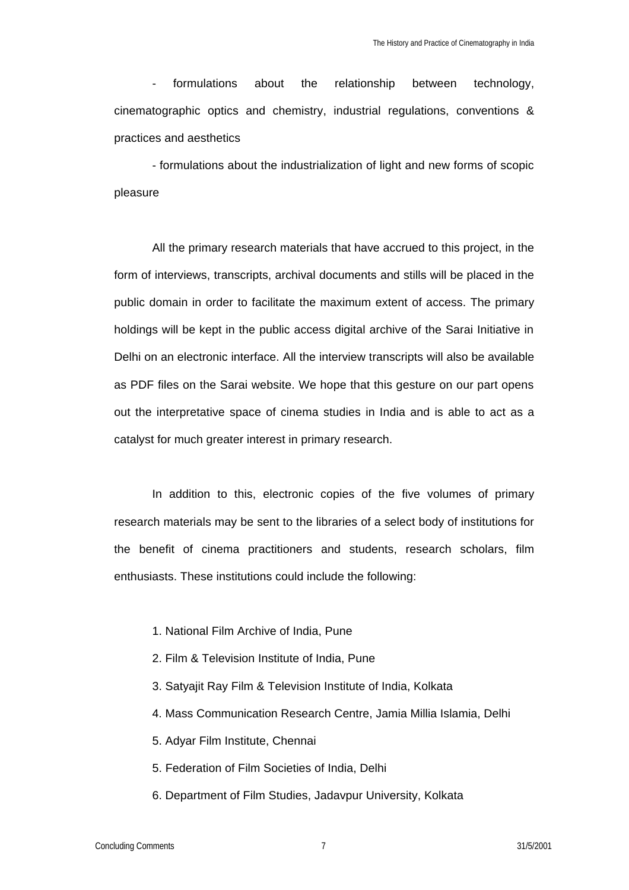formulations about the relationship between technology, cinematographic optics and chemistry, industrial regulations, conventions & practices and aesthetics

- formulations about the industrialization of light and new forms of scopic pleasure

All the primary research materials that have accrued to this project, in the form of interviews, transcripts, archival documents and stills will be placed in the public domain in order to facilitate the maximum extent of access. The primary holdings will be kept in the public access digital archive of the Sarai Initiative in Delhi on an electronic interface. All the interview transcripts will also be available as PDF files on the Sarai website. We hope that this gesture on our part opens out the interpretative space of cinema studies in India and is able to act as a catalyst for much greater interest in primary research.

In addition to this, electronic copies of the five volumes of primary research materials may be sent to the libraries of a select body of institutions for the benefit of cinema practitioners and students, research scholars, film enthusiasts. These institutions could include the following:

- 1. National Film Archive of India, Pune
- 2. Film & Television Institute of India, Pune
- 3. Satyajit Ray Film & Television Institute of India, Kolkata
- 4. Mass Communication Research Centre, Jamia Millia Islamia, Delhi
- 5. Adyar Film Institute, Chennai
- 5. Federation of Film Societies of India, Delhi
- 6. Department of Film Studies, Jadavpur University, Kolkata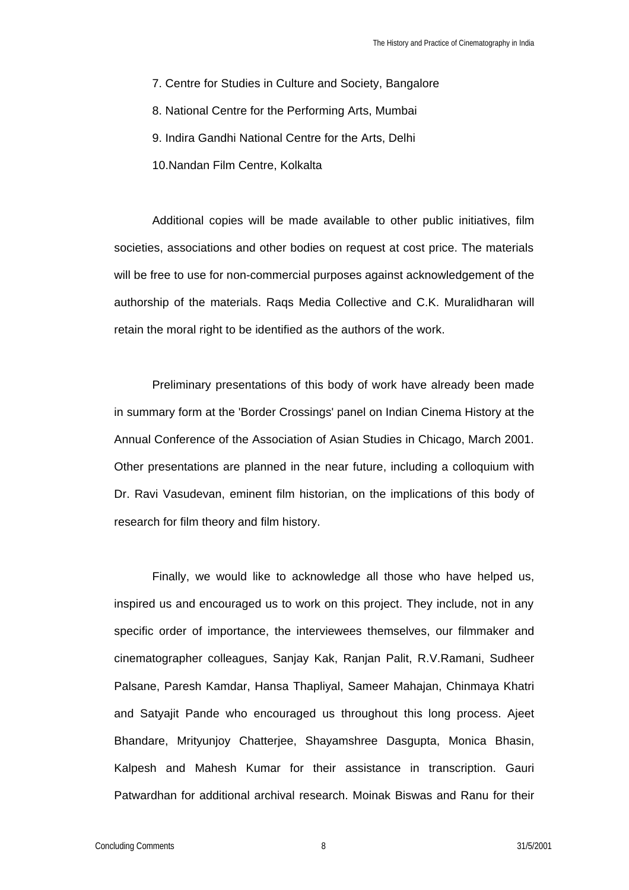- 7. Centre for Studies in Culture and Society, Bangalore
- 8. National Centre for the Performing Arts, Mumbai
- 9. Indira Gandhi National Centre for the Arts, Delhi
- 10.Nandan Film Centre, Kolkalta

Additional copies will be made available to other public initiatives, film societies, associations and other bodies on request at cost price. The materials will be free to use for non-commercial purposes against acknowledgement of the authorship of the materials. Raqs Media Collective and C.K. Muralidharan will retain the moral right to be identified as the authors of the work.

Preliminary presentations of this body of work have already been made in summary form at the 'Border Crossings' panel on Indian Cinema History at the Annual Conference of the Association of Asian Studies in Chicago, March 2001. Other presentations are planned in the near future, including a colloquium with Dr. Ravi Vasudevan, eminent film historian, on the implications of this body of research for film theory and film history.

Finally, we would like to acknowledge all those who have helped us, inspired us and encouraged us to work on this project. They include, not in any specific order of importance, the interviewees themselves, our filmmaker and cinematographer colleagues, Sanjay Kak, Ranjan Palit, R.V.Ramani, Sudheer Palsane, Paresh Kamdar, Hansa Thapliyal, Sameer Mahajan, Chinmaya Khatri and Satyajit Pande who encouraged us throughout this long process. Ajeet Bhandare, Mrityunjoy Chatterjee, Shayamshree Dasgupta, Monica Bhasin, Kalpesh and Mahesh Kumar for their assistance in transcription. Gauri Patwardhan for additional archival research. Moinak Biswas and Ranu for their